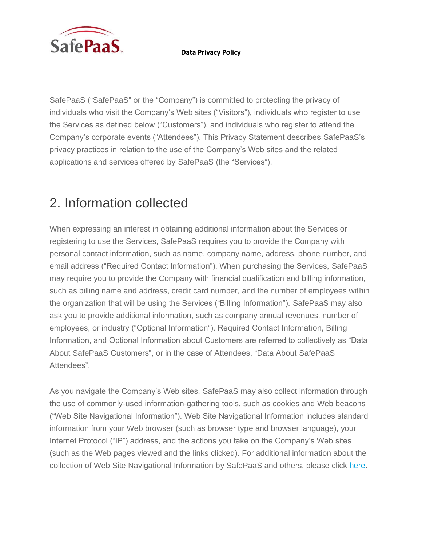

SafePaaS ("SafePaaS" or the "Company") is committed to protecting the privacy of individuals who visit the Company's Web sites ("Visitors"), individuals who register to use the Services as defined below ("Customers"), and individuals who register to attend the Company's corporate events ("Attendees"). This Privacy Statement describes SafePaaS's privacy practices in relation to the use of the Company's Web sites and the related applications and services offered by SafePaaS (the "Services").

# 2. Information collected

When expressing an interest in obtaining additional information about the Services or registering to use the Services, SafePaaS requires you to provide the Company with personal contact information, such as name, company name, address, phone number, and email address ("Required Contact Information"). When purchasing the Services, SafePaaS may require you to provide the Company with financial qualification and billing information, such as billing name and address, credit card number, and the number of employees within the organization that will be using the Services ("Billing Information"). SafePaaS may also ask you to provide additional information, such as company annual revenues, number of employees, or industry ("Optional Information"). Required Contact Information, Billing Information, and Optional Information about Customers are referred to collectively as "Data About SafePaaS Customers", or in the case of Attendees, "Data About SafePaaS Attendees".

As you navigate the Company's Web sites, SafePaaS may also collect information through the use of commonly-used information-gathering tools, such as cookies and Web beacons ("Web Site Navigational Information"). Web Site Navigational Information includes standard information from your Web browser (such as browser type and browser language), your Internet Protocol ("IP") address, and the actions you take on the Company's Web sites (such as the Web pages viewed and the links clicked). For additional information about the collection of Web Site Navigational Information by SafePaaS and others, please click [here.](https://www.safepaas.com/)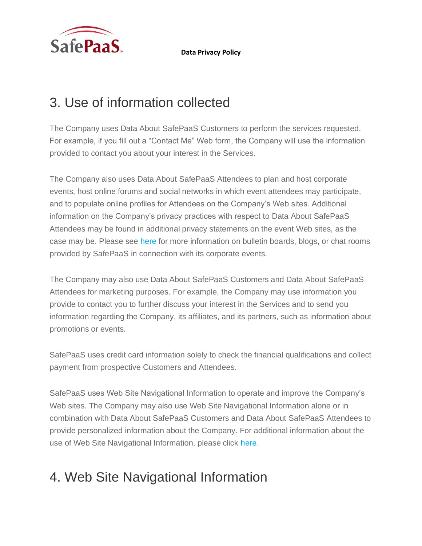

# 3. Use of information collected

The Company uses Data About SafePaaS Customers to perform the services requested. For example, if you fill out a "Contact Me" Web form, the Company will use the information provided to contact you about your interest in the Services.

The Company also uses Data About SafePaaS Attendees to plan and host corporate events, host online forums and social networks in which event attendees may participate, and to populate online profiles for Attendees on the Company's Web sites. Additional information on the Company's privacy practices with respect to Data About SafePaaS Attendees may be found in additional privacy statements on the event Web sites, as the case may be. Please see [here](https://www.safepaas.com/) for more information on bulletin boards, blogs, or chat rooms provided by SafePaaS in connection with its corporate events.

The Company may also use Data About SafePaaS Customers and Data About SafePaaS Attendees for marketing purposes. For example, the Company may use information you provide to contact you to further discuss your interest in the Services and to send you information regarding the Company, its affiliates, and its partners, such as information about promotions or events.

SafePaaS uses credit card information solely to check the financial qualifications and collect payment from prospective Customers and Attendees.

SafePaaS uses Web Site Navigational Information to operate and improve the Company's Web sites. The Company may also use Web Site Navigational Information alone or in combination with Data About SafePaaS Customers and Data About SafePaaS Attendees to provide personalized information about the Company. For additional information about the use of Web Site Navigational Information, please click [here.](https://www.safepaas.com/)

## 4. Web Site Navigational Information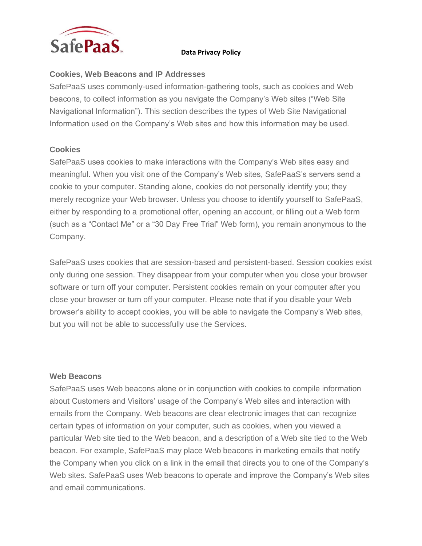

### **Cookies, Web Beacons and IP Addresses**

SafePaaS uses commonly-used information-gathering tools, such as cookies and Web beacons, to collect information as you navigate the Company's Web sites ("Web Site Navigational Information"). This section describes the types of Web Site Navigational Information used on the Company's Web sites and how this information may be used.

### **Cookies**

SafePaaS uses cookies to make interactions with the Company's Web sites easy and meaningful. When you visit one of the Company's Web sites, SafePaaS's servers send a cookie to your computer. Standing alone, cookies do not personally identify you; they merely recognize your Web browser. Unless you choose to identify yourself to SafePaaS, either by responding to a promotional offer, opening an account, or filling out a Web form (such as a "Contact Me" or a "30 Day Free Trial" Web form), you remain anonymous to the Company.

SafePaaS uses cookies that are session-based and persistent-based. Session cookies exist only during one session. They disappear from your computer when you close your browser software or turn off your computer. Persistent cookies remain on your computer after you close your browser or turn off your computer. Please note that if you disable your Web browser's ability to accept cookies, you will be able to navigate the Company's Web sites, but you will not be able to successfully use the Services.

#### **Web Beacons**

SafePaaS uses Web beacons alone or in conjunction with cookies to compile information about Customers and Visitors' usage of the Company's Web sites and interaction with emails from the Company. Web beacons are clear electronic images that can recognize certain types of information on your computer, such as cookies, when you viewed a particular Web site tied to the Web beacon, and a description of a Web site tied to the Web beacon. For example, SafePaaS may place Web beacons in marketing emails that notify the Company when you click on a link in the email that directs you to one of the Company's Web sites. SafePaaS uses Web beacons to operate and improve the Company's Web sites and email communications.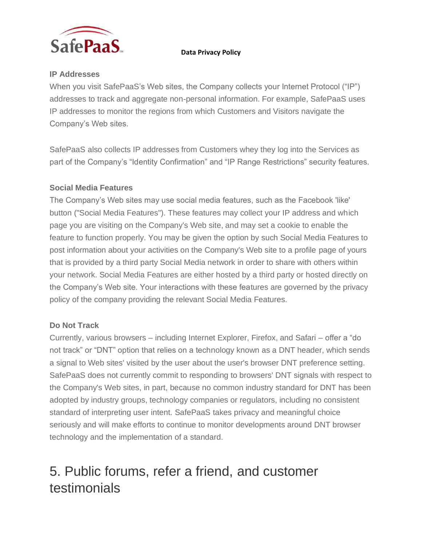

## **IP Addresses**

When you visit SafePaaS's Web sites, the Company collects your Internet Protocol ("IP") addresses to track and aggregate non-personal information. For example, SafePaaS uses IP addresses to monitor the regions from which Customers and Visitors navigate the Company's Web sites.

SafePaaS also collects IP addresses from Customers whey they log into the Services as part of the Company's "Identity Confirmation" and "IP Range Restrictions" security features.

### **Social Media Features**

The Company's Web sites may use social media features, such as the Facebook 'like' button ("Social Media Features"). These features may collect your IP address and which page you are visiting on the Company's Web site, and may set a cookie to enable the feature to function properly. You may be given the option by such Social Media Features to post information about your activities on the Company's Web site to a profile page of yours that is provided by a third party Social Media network in order to share with others within your network. Social Media Features are either hosted by a third party or hosted directly on the Company's Web site. Your interactions with these features are governed by the privacy policy of the company providing the relevant Social Media Features.

## **Do Not Track**

Currently, various browsers – including Internet Explorer, Firefox, and Safari – offer a "do not track" or "DNT" option that relies on a technology known as a DNT header, which sends a signal to Web sites' visited by the user about the user's browser DNT preference setting. SafePaaS does not currently commit to responding to browsers' DNT signals with respect to the Company's Web sites, in part, because no common industry standard for DNT has been adopted by industry groups, technology companies or regulators, including no consistent standard of interpreting user intent. SafePaaS takes privacy and meaningful choice seriously and will make efforts to continue to monitor developments around DNT browser technology and the implementation of a standard.

## 5. Public forums, refer a friend, and customer testimonials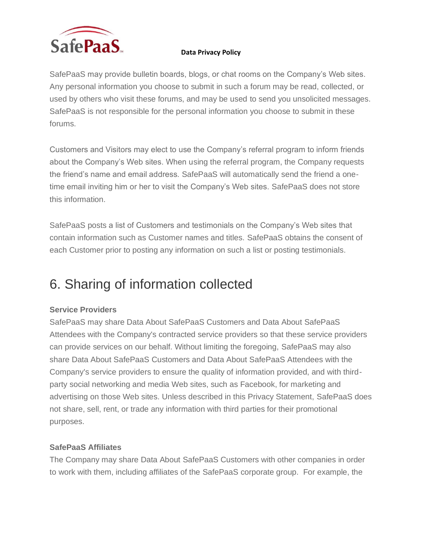

SafePaaS may provide bulletin boards, blogs, or chat rooms on the Company's Web sites. Any personal information you choose to submit in such a forum may be read, collected, or used by others who visit these forums, and may be used to send you unsolicited messages. SafePaaS is not responsible for the personal information you choose to submit in these forums.

Customers and Visitors may elect to use the Company's referral program to inform friends about the Company's Web sites. When using the referral program, the Company requests the friend's name and email address. SafePaaS will automatically send the friend a onetime email inviting him or her to visit the Company's Web sites. SafePaaS does not store this information.

SafePaaS posts a list of Customers and testimonials on the Company's Web sites that contain information such as Customer names and titles. SafePaaS obtains the consent of each Customer prior to posting any information on such a list or posting testimonials.

# 6. Sharing of information collected

## **Service Providers**

SafePaaS may share Data About SafePaaS Customers and Data About SafePaaS Attendees with the Company's contracted service providers so that these service providers can provide services on our behalf. Without limiting the foregoing, SafePaaS may also share Data About SafePaaS Customers and Data About SafePaaS Attendees with the Company's service providers to ensure the quality of information provided, and with thirdparty social networking and media Web sites, such as Facebook, for marketing and advertising on those Web sites. Unless described in this Privacy Statement, SafePaaS does not share, sell, rent, or trade any information with third parties for their promotional purposes.

### **SafePaaS Affiliates**

The Company may share Data About SafePaaS Customers with other companies in order to work with them, including affiliates of the SafePaaS corporate group. For example, the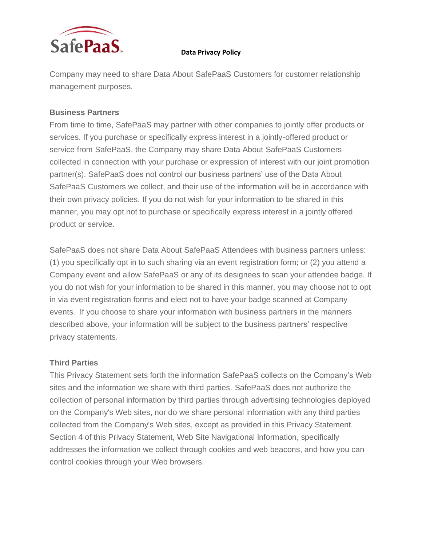

Company may need to share Data About SafePaaS Customers for customer relationship management purposes.

### **Business Partners**

From time to time, SafePaaS may partner with other companies to jointly offer products or services. If you purchase or specifically express interest in a jointly-offered product or service from SafePaaS, the Company may share Data About SafePaaS Customers collected in connection with your purchase or expression of interest with our joint promotion partner(s). SafePaaS does not control our business partners' use of the Data About SafePaaS Customers we collect, and their use of the information will be in accordance with their own privacy policies. If you do not wish for your information to be shared in this manner, you may opt not to purchase or specifically express interest in a jointly offered product or service.

SafePaaS does not share Data About SafePaaS Attendees with business partners unless: (1) you specifically opt in to such sharing via an event registration form; or (2) you attend a Company event and allow SafePaaS or any of its designees to scan your attendee badge. If you do not wish for your information to be shared in this manner, you may choose not to opt in via event registration forms and elect not to have your badge scanned at Company events. If you choose to share your information with business partners in the manners described above, your information will be subject to the business partners' respective privacy statements.

### **Third Parties**

This Privacy Statement sets forth the information SafePaaS collects on the Company's Web sites and the information we share with third parties. SafePaaS does not authorize the collection of personal information by third parties through advertising technologies deployed on the Company's Web sites, nor do we share personal information with any third parties collected from the Company's Web sites, except as provided in this Privacy Statement. Section 4 of this Privacy Statement, Web Site Navigational Information, specifically addresses the information we collect through cookies and web beacons, and how you can control cookies through your Web browsers.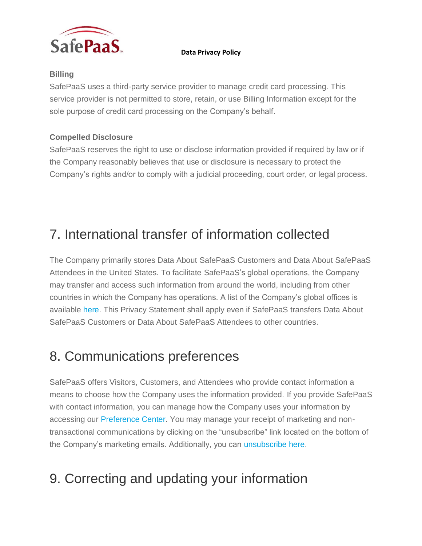

## **Billing**

SafePaaS uses a third-party service provider to manage credit card processing. This service provider is not permitted to store, retain, or use Billing Information except for the sole purpose of credit card processing on the Company's behalf.

## **Compelled Disclosure**

SafePaaS reserves the right to use or disclose information provided if required by law or if the Company reasonably believes that use or disclosure is necessary to protect the Company's rights and/or to comply with a judicial proceeding, court order, or legal process.

# 7. International transfer of information collected

The Company primarily stores Data About SafePaaS Customers and Data About SafePaaS Attendees in the United States. To facilitate SafePaaS's global operations, the Company may transfer and access such information from around the world, including from other countries in which the Company has operations. A list of the Company's global offices is available [here.](https://www.safepaas.com/) This Privacy Statement shall apply even if SafePaaS transfers Data About SafePaaS Customers or Data About SafePaaS Attendees to other countries.

## 8. Communications preferences

SafePaaS offers Visitors, Customers, and Attendees who provide contact information a means to choose how the Company uses the information provided. If you provide SafePaaS with contact information, you can manage how the Company uses your information by accessing our [Preference Center.](https://www.safepaas.com/) You may manage your receipt of marketing and nontransactional communications by clicking on the "unsubscribe" link located on the bottom of the Company's marketing emails. Additionally, you can [unsubscribe here.](https://www.safepaas.com/)

# 9. Correcting and updating your information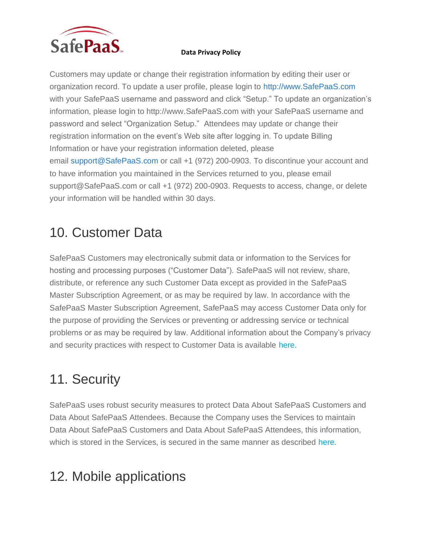

Customers may update or change their registration information by editing their user or organization record. To update a user profile, please login to [http://www.SafePaaS.com](http://www.safepaas.com/) with your SafePaaS username and password and click "Setup." To update an organization's information, please login to http://www.SafePaaS.com with your SafePaaS username and password and select "Organization Setup." Attendees may update or change their registration information on the event's Web site after logging in. To update Billing Information or have your registration information deleted, please email [support@SafePaaS.com](mailto:support@salesforce.com) or call +1 (972) 200-0903. To discontinue your account and to have information you maintained in the Services returned to you, please email support@SafePaaS.com or call +1 (972) 200-0903. Requests to access, change, or delete your information will be handled within 30 days.

## 10. Customer Data

SafePaaS Customers may electronically submit data or information to the Services for hosting and processing purposes ("Customer Data"). SafePaaS will not review, share, distribute, or reference any such Customer Data except as provided in the SafePaaS Master Subscription Agreement, or as may be required by law. In accordance with the SafePaaS Master Subscription Agreement, SafePaaS may access Customer Data only for the purpose of providing the Services or preventing or addressing service or technical problems or as may be required by law. Additional information about the Company's privacy and security practices with respect to Customer Data is available [here.](http://www.safepaas.com/)

# 11. Security

SafePaaS uses robust security measures to protect Data About SafePaaS Customers and Data About SafePaaS Attendees. Because the Company uses the Services to maintain Data About SafePaaS Customers and Data About SafePaaS Attendees, this information, which is stored in the Services, is secured in the same manner as described [here.](http://www.safepaas.com/)

## 12. Mobile applications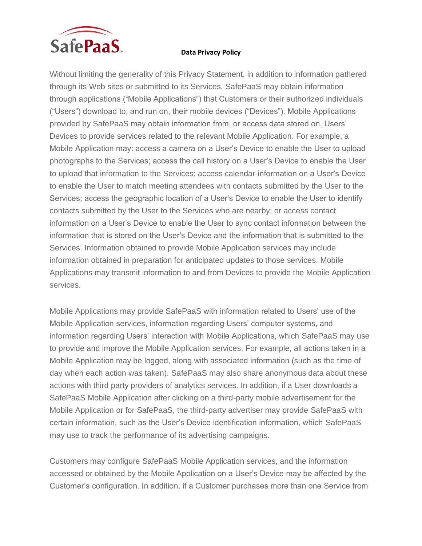

Without limiting the generality of this Privacy Statement, in addition to information gathered through its Web sites or submitted to its Services, SafePaaS may obtain information through applications ("Mobile Applications") that Customers or their authorized individuals ("Users") download to, and run on, their mobile devices ("Devices"). Mobile Applications provided by SafePaaS may obtain information from, or access data stored on, Users' Devices to provide services related to the relevant Mobile Application. For example, a Mobile Application may: access a camera on a User's Device to enable the User to upload photographs to the Services; access the call history on a User's Device to enable the User to upload that information to the Services; access calendar information on a User's Device to enable the User to match meeting attendees with contacts submitted by the User to the Services; access the geographic location of a User's Device to enable the User to identify contacts submitted by the User to the Services who are nearby; or access contact information on a User's Device to enable the User to sync contact information between the information that is stored on the User's Device and the information that is submitted to the Services. Information obtained to provide Mobile Application services may include information obtained in preparation for anticipated updates to those services. Mobile Applications may transmit information to and from Devices to provide the Mobile Application services.

Mobile Applications may provide SafePaaS with information related to Users' use of the Mobile Application services, information regarding Users' computer systems, and information regarding Users' interaction with Mobile Applications, which SafePaaS may use to provide and improve the Mobile Application services. For example, all actions taken in a Mobile Application may be logged, along with associated information (such as the time of day when each action was taken). SafePaaS may also share anonymous data about these actions with third party providers of analytics services. In addition, if a User downloads a SafePaaS Mobile Application after clicking on a third-party mobile advertisement for the Mobile Application or for SafePaaS, the third-party advertiser may provide SafePaaS with certain information, such as the User's Device identification information, which SafePaaS may use to track the performance of its advertising campaigns.

Customers may configure SafePaaS Mobile Application services, and the information accessed or obtained by the Mobile Application on a User's Device may be affected by the Customer's configuration. In addition, if a Customer purchases more than one Service from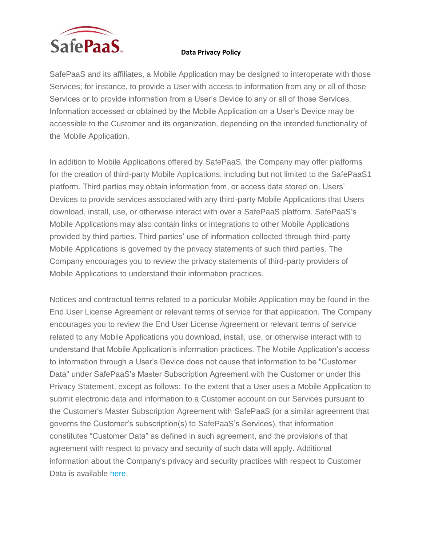

SafePaaS and its affiliates, a Mobile Application may be designed to interoperate with those Services; for instance, to provide a User with access to information from any or all of those Services or to provide information from a User's Device to any or all of those Services. Information accessed or obtained by the Mobile Application on a User's Device may be accessible to the Customer and its organization, depending on the intended functionality of the Mobile Application.

In addition to Mobile Applications offered by SafePaaS, the Company may offer platforms for the creation of third-party Mobile Applications, including but not limited to the SafePaaS1 platform. Third parties may obtain information from, or access data stored on, Users' Devices to provide services associated with any third-party Mobile Applications that Users download, install, use, or otherwise interact with over a SafePaaS platform. SafePaaS's Mobile Applications may also contain links or integrations to other Mobile Applications provided by third parties. Third parties' use of information collected through third-party Mobile Applications is governed by the privacy statements of such third parties. The Company encourages you to review the privacy statements of third-party providers of Mobile Applications to understand their information practices.

Notices and contractual terms related to a particular Mobile Application may be found in the End User License Agreement or relevant terms of service for that application. The Company encourages you to review the End User License Agreement or relevant terms of service related to any Mobile Applications you download, install, use, or otherwise interact with to understand that Mobile Application's information practices. The Mobile Application's access to information through a User's Device does not cause that information to be "Customer Data" under SafePaaS's Master Subscription Agreement with the Customer or under this Privacy Statement, except as follows: To the extent that a User uses a Mobile Application to submit electronic data and information to a Customer account on our Services pursuant to the Customer's Master Subscription Agreement with SafePaaS (or a similar agreement that governs the Customer's subscription(s) to SafePaaS's Services), that information constitutes "Customer Data" as defined in such agreement, and the provisions of that agreement with respect to privacy and security of such data will apply. Additional information about the Company's privacy and security practices with respect to Customer Data is available [here.](https://www.safepaas.com/)